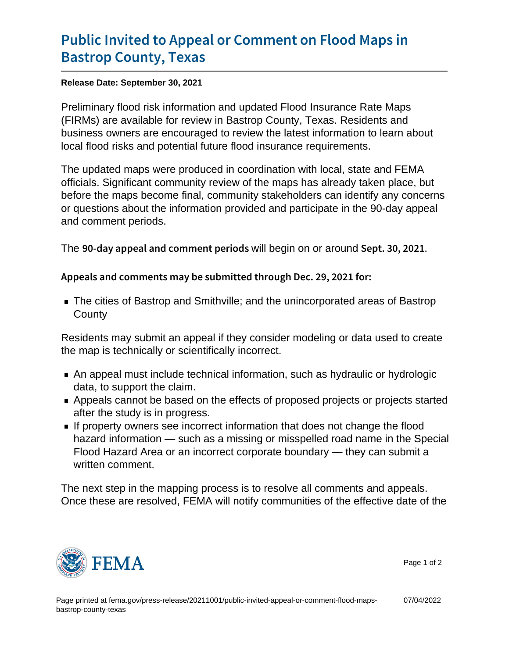## [Public Invited to Appeal or Comm](https://www.fema.gov/press-release/20211001/public-invited-appeal-or-comment-flood-maps-bastrop-county-texas)ent on F [Bastrop Coun](https://www.fema.gov/press-release/20211001/public-invited-appeal-or-comment-flood-maps-bastrop-county-texas)ty, Texas

Release Date: September 30, 2021

Preliminary flood risk information and updated Flood Insurance Rate Maps (FIRMs) are available for review in Bastrop County, Texas. Residents and business owners are encouraged to review the latest information to learn about local flood risks and potential future flood insurance requirements.

The updated maps were produced in coordination with local, state and FEMA officials. Significant community review of the maps has already taken place, but before the maps become final, community stakeholders can identify any concerns or questions about the information provided and participate in the 90-day appeal and comment periods.

The  $90$ -day appeal and comwith beagin opneorian could  $\texttt{Sept. } 30, 2021$ 

Appeals and comments may be submitted through Dec. 29,

The cities of Bastrop and Smithville; and the unincorporated areas of Bastrop **County** 

Residents may submit an appeal if they consider modeling or data used to create the map is technically or scientifically incorrect.

- An appeal must include technical information, such as hydraulic or hydrologic data, to support the claim.
- Appeals cannot be based on the effects of proposed projects or projects started after the study is in progress.
- If property owners see incorrect information that does not change the flood hazard information — such as a missing or misspelled road name in the Special Flood Hazard Area or an incorrect corporate boundary — they can submit a written comment.

The next step in the mapping process is to resolve all comments and appeals. Once these are resolved, FEMA will notify communities of the effective date of the



Page 1 of 2